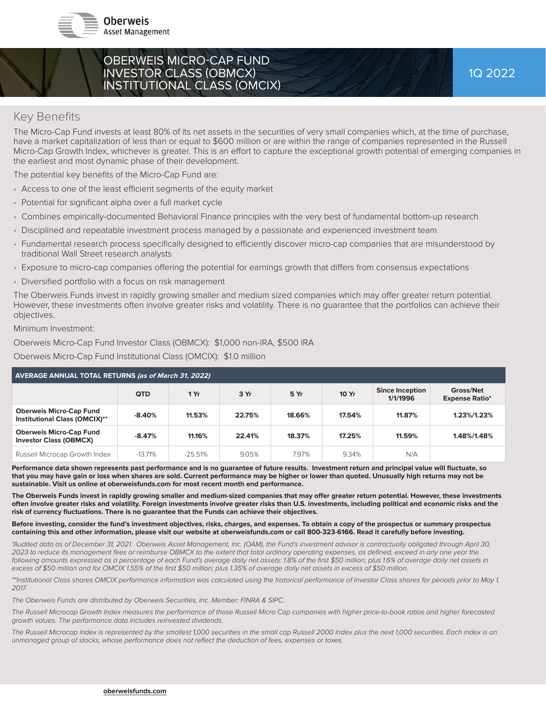

## OBERWEIS MICRO-CAP FUND INVESTOR CLASS (OBMCX) INSTITUTIONAL CLASS (OMCIX)

## **Key Benefits**

The Micro-Cap Fund invests at least 80% of its net assets in the securities of very small companies which, at the time of purchase, have a market capitalization of less than or equal to \$600 million or are within the range of companies represented in the Russell Micro-Cap Growth Index, whichever is greater. This is an effort to capture the exceptional growth potential of emerging companies in the earliest and most dynamic phase of their development.

The potential key benefits of the Micro-Cap Fund are:

- Access to one of the least efficient segments of the equity market
- Potential for significant alpha over a full market cycle
- Combines empirically-documented Behavioral Finance principles with the very best of fundamental bottom-up research
- Disciplined and repeatable investment process managed by a passionate and experienced investment team
- Fundamental research process specifically designed to efficiently discover micro-cap companies that are misunderstood by traditional Wall Street research analysts
- Exposure to micro-cap companies offering the potential for earnings growth that differs from consensus expectations
- Diversified portfolio with a focus on risk management

The Oberweis Funds invest in rapidly growing smaller and medium sized companies which may offer greater return potential. However, these investments often involve greater risks and volatility. There is no guarantee that the portfolios can achieve their objectives.

Minimum Investment:

Oberweis Micro-Cap Fund Investor Class (OBMCX): \$1,000 non-IRA, \$500 IRA

Oberweis Micro-Cap Fund Institutional Class (OMCIX): \$1.0 million

| <b>AVERAGE ANNUAL TOTAL RETURNS (as of March 31, 2022)</b>             |            |           |        |        |              |                                    |                                    |  |  |
|------------------------------------------------------------------------|------------|-----------|--------|--------|--------------|------------------------------------|------------------------------------|--|--|
|                                                                        | <b>QTD</b> | 1 Yr      | 3 Yr   | 5 Yr   | <b>10 Yr</b> | <b>Since Inception</b><br>1/1/1996 | Gross/Net<br><b>Expense Ratio*</b> |  |  |
| <b>Oberweis Micro-Cap Fund</b><br><b>Institutional Class (OMCIX)**</b> | $-8.40%$   | 11.53%    | 22.75% | 18.66% | 17.54%       | 11.87%                             | 1.23%/1.23%                        |  |  |
| <b>Oberweis Micro-Cap Fund</b><br><b>Investor Class (OBMCX)</b>        | $-8.47%$   | 11.16%    | 22.41% | 18.37% | 17.25%       | 11.59%                             | 1.48%/1.48%                        |  |  |
| Russell Microcap Growth Index                                          | $-13.71%$  | $-25.51%$ | 9.05%  | 7.97%  | 9.34%        | N/A                                |                                    |  |  |

Performance data shown represents past performance and is no guarantee of future results. Investment return and principal value will fluctuate, so **that you may have gain or loss when shares are sold. Current performance may be higher or lower than quoted. Unusually high returns may not be sustainable. Visit us online at oberweisfunds.com for most recent month end performance.** 

The Oberweis Funds invest in rapidly growing smaller and medium-sized companies that may offer greater return potential. However, these investments **often involve greater risks and volatility. Foreign investments involve greater risks than U.S. investments, including political and economic risks and the**  risk of currency fluctuations. There is no quarantee that the Funds can achieve their objectives.

#### **Before investing, consider the fund's investment objectives, risks, charges, and expenses. To obtain a copy of the prospectus or summary prospectus containing this and other information, please visit our website at oberweisfunds.com or call 800-323-6166. Read it carefully before investing.**

*\*Audited data as of December 31, 2021. Oberweis Asset Management, Inc. (OAM), the Fund's investment advisor is contractually obligated through April 30,*  2023 to reduce its management fees or reimburse OBMCX to the extent that total ordinary operating expenses, as defined, exceed in any one year the following amounts expressed as a percentage of each Fund's average daily net assets: 1.8% of the first \$50 million; plus 1.6% of average daily net assets in excess of \$50 million and for OMCIX 1.55% of the first \$50 million; plus 1.35% of average daily net assets in excess of \$50 million.

*\*\*Institutional Class shares OMCIX performance information was calculated using the historical performance of Investor Class shares for periods prior to May 1, 2017.*

*The Oberweis Funds are distributed by Oberweis Securities, Inc. Member: FINRA & SIPC.*

*The Russell Microcap Growth Index measures the performance of those Russell Micro Cap companies with higher price-to-book ratios and higher forecasted growth values. The performance data includes reinvested dividends.*

The Russell Microcap Index is represented by the smallest 1,000 securities in the small cap Russell 2000 Index plus the next 1,000 securities. Each index is an unmanaged group of stocks, whose performance does not reflect the deduction of fees, expenses or taxes.